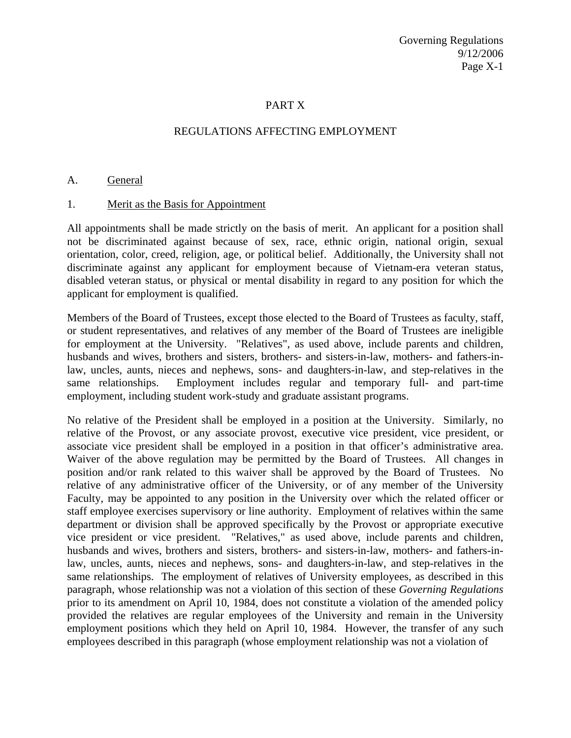#### PART X

#### REGULATIONS AFFECTING EMPLOYMENT

#### A. General

#### 1. Merit as the Basis for Appointment

All appointments shall be made strictly on the basis of merit. An applicant for a position shall not be discriminated against because of sex, race, ethnic origin, national origin, sexual orientation, color, creed, religion, age, or political belief. Additionally, the University shall not discriminate against any applicant for employment because of Vietnam-era veteran status, disabled veteran status, or physical or mental disability in regard to any position for which the applicant for employment is qualified.

Members of the Board of Trustees, except those elected to the Board of Trustees as faculty, staff, or student representatives, and relatives of any member of the Board of Trustees are ineligible for employment at the University. "Relatives", as used above, include parents and children, husbands and wives, brothers and sisters, brothers- and sisters-in-law, mothers- and fathers-inlaw, uncles, aunts, nieces and nephews, sons- and daughters-in-law, and step-relatives in the same relationships. Employment includes regular and temporary full- and part-time employment, including student work-study and graduate assistant programs.

No relative of the President shall be employed in a position at the University. Similarly, no relative of the Provost, or any associate provost, executive vice president, vice president, or associate vice president shall be employed in a position in that officer's administrative area. Waiver of the above regulation may be permitted by the Board of Trustees. All changes in position and/or rank related to this waiver shall be approved by the Board of Trustees. No relative of any administrative officer of the University, or of any member of the University Faculty, may be appointed to any position in the University over which the related officer or staff employee exercises supervisory or line authority. Employment of relatives within the same department or division shall be approved specifically by the Provost or appropriate executive vice president or vice president. "Relatives," as used above, include parents and children, husbands and wives, brothers and sisters, brothers- and sisters-in-law, mothers- and fathers-inlaw, uncles, aunts, nieces and nephews, sons- and daughters-in-law, and step-relatives in the same relationships. The employment of relatives of University employees, as described in this paragraph, whose relationship was not a violation of this section of these *Governing Regulations* prior to its amendment on April 10, 1984, does not constitute a violation of the amended policy provided the relatives are regular employees of the University and remain in the University employment positions which they held on April 10, 1984. However, the transfer of any such employees described in this paragraph (whose employment relationship was not a violation of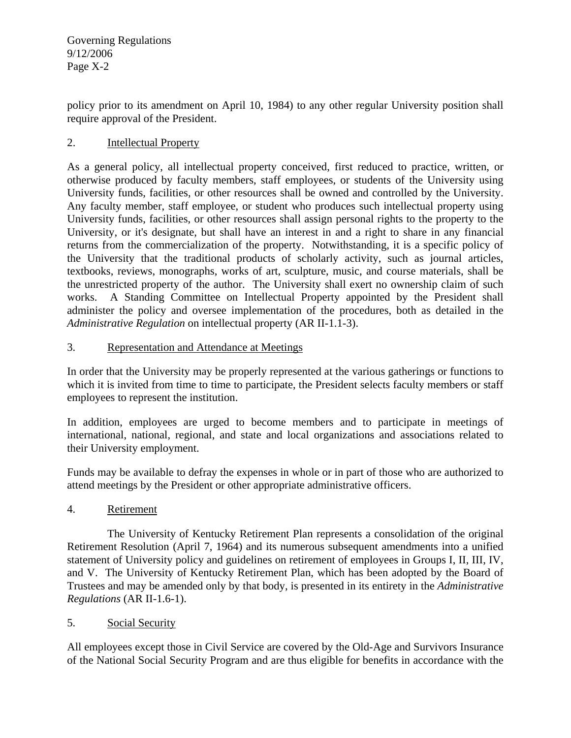policy prior to its amendment on April 10, 1984) to any other regular University position shall require approval of the President.

## 2. Intellectual Property

As a general policy, all intellectual property conceived, first reduced to practice, written, or otherwise produced by faculty members, staff employees, or students of the University using University funds, facilities, or other resources shall be owned and controlled by the University. Any faculty member, staff employee, or student who produces such intellectual property using University funds, facilities, or other resources shall assign personal rights to the property to the University, or it's designate, but shall have an interest in and a right to share in any financial returns from the commercialization of the property. Notwithstanding, it is a specific policy of the University that the traditional products of scholarly activity, such as journal articles, textbooks, reviews, monographs, works of art, sculpture, music, and course materials, shall be the unrestricted property of the author. The University shall exert no ownership claim of such works. A Standing Committee on Intellectual Property appointed by the President shall administer the policy and oversee implementation of the procedures, both as detailed in the *Administrative Regulation* on intellectual property (AR II-1.1-3).

## 3. Representation and Attendance at Meetings

In order that the University may be properly represented at the various gatherings or functions to which it is invited from time to time to participate, the President selects faculty members or staff employees to represent the institution.

In addition, employees are urged to become members and to participate in meetings of international, national, regional, and state and local organizations and associations related to their University employment.

Funds may be available to defray the expenses in whole or in part of those who are authorized to attend meetings by the President or other appropriate administrative officers.

## 4. Retirement

 The University of Kentucky Retirement Plan represents a consolidation of the original Retirement Resolution (April 7, 1964) and its numerous subsequent amendments into a unified statement of University policy and guidelines on retirement of employees in Groups I, II, III, IV, and V. The University of Kentucky Retirement Plan, which has been adopted by the Board of Trustees and may be amended only by that body, is presented in its entirety in the *Administrative Regulations* (AR II-1.6-1).

## 5. Social Security

All employees except those in Civil Service are covered by the Old-Age and Survivors Insurance of the National Social Security Program and are thus eligible for benefits in accordance with the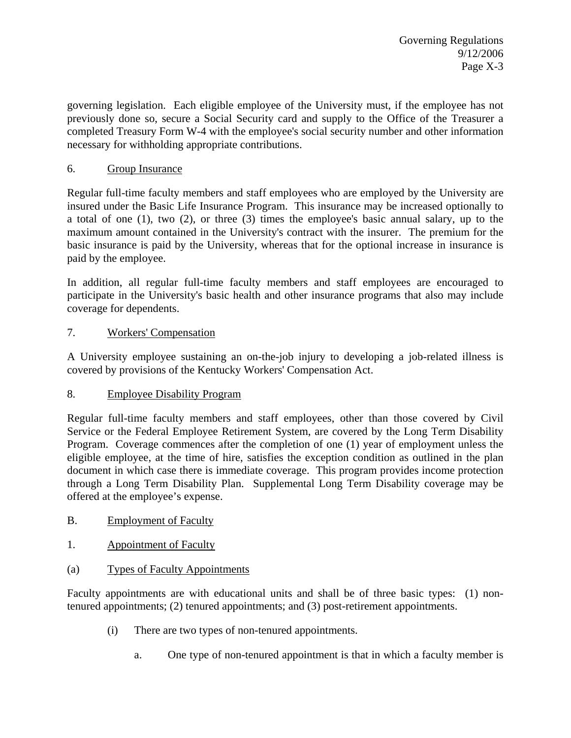governing legislation. Each eligible employee of the University must, if the employee has not previously done so, secure a Social Security card and supply to the Office of the Treasurer a completed Treasury Form W-4 with the employee's social security number and other information necessary for withholding appropriate contributions.

## 6. Group Insurance

Regular full-time faculty members and staff employees who are employed by the University are insured under the Basic Life Insurance Program. This insurance may be increased optionally to a total of one (1), two (2), or three (3) times the employee's basic annual salary, up to the maximum amount contained in the University's contract with the insurer. The premium for the basic insurance is paid by the University, whereas that for the optional increase in insurance is paid by the employee.

In addition, all regular full-time faculty members and staff employees are encouraged to participate in the University's basic health and other insurance programs that also may include coverage for dependents.

## 7. Workers' Compensation

A University employee sustaining an on-the-job injury to developing a job-related illness is covered by provisions of the Kentucky Workers' Compensation Act.

## 8. Employee Disability Program

Regular full-time faculty members and staff employees, other than those covered by Civil Service or the Federal Employee Retirement System, are covered by the Long Term Disability Program. Coverage commences after the completion of one (1) year of employment unless the eligible employee, at the time of hire, satisfies the exception condition as outlined in the plan document in which case there is immediate coverage. This program provides income protection through a Long Term Disability Plan. Supplemental Long Term Disability coverage may be offered at the employee's expense.

- B. Employment of Faculty
- 1. Appointment of Faculty
- (a) Types of Faculty Appointments

Faculty appointments are with educational units and shall be of three basic types: (1) nontenured appointments; (2) tenured appointments; and (3) post-retirement appointments.

- (i) There are two types of non-tenured appointments.
	- a. One type of non-tenured appointment is that in which a faculty member is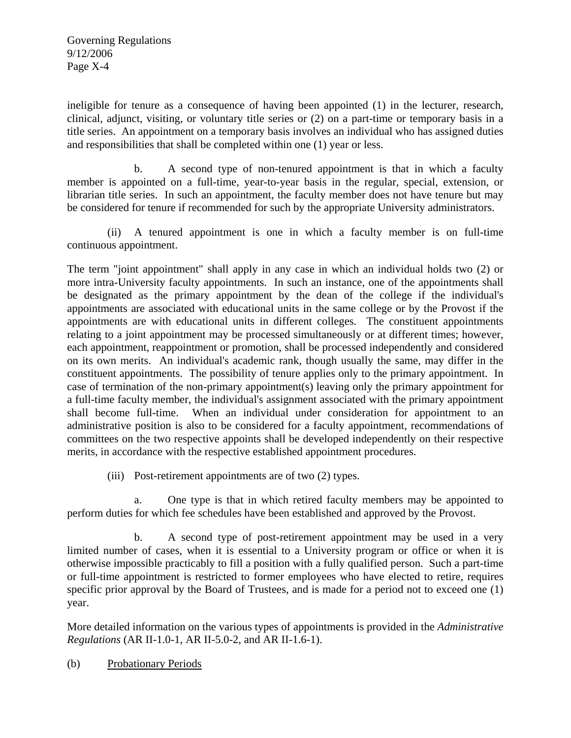ineligible for tenure as a consequence of having been appointed (1) in the lecturer, research, clinical, adjunct, visiting, or voluntary title series or (2) on a part-time or temporary basis in a title series. An appointment on a temporary basis involves an individual who has assigned duties and responsibilities that shall be completed within one (1) year or less.

 b. A second type of non-tenured appointment is that in which a faculty member is appointed on a full-time, year-to-year basis in the regular, special, extension, or librarian title series. In such an appointment, the faculty member does not have tenure but may be considered for tenure if recommended for such by the appropriate University administrators.

 (ii) A tenured appointment is one in which a faculty member is on full-time continuous appointment.

The term "joint appointment" shall apply in any case in which an individual holds two (2) or more intra-University faculty appointments. In such an instance, one of the appointments shall be designated as the primary appointment by the dean of the college if the individual's appointments are associated with educational units in the same college or by the Provost if the appointments are with educational units in different colleges. The constituent appointments relating to a joint appointment may be processed simultaneously or at different times; however, each appointment, reappointment or promotion, shall be processed independently and considered on its own merits. An individual's academic rank, though usually the same, may differ in the constituent appointments. The possibility of tenure applies only to the primary appointment. In case of termination of the non-primary appointment(s) leaving only the primary appointment for a full-time faculty member, the individual's assignment associated with the primary appointment shall become full-time. When an individual under consideration for appointment to an administrative position is also to be considered for a faculty appointment, recommendations of committees on the two respective appoints shall be developed independently on their respective merits, in accordance with the respective established appointment procedures.

(iii) Post-retirement appointments are of two (2) types.

 a. One type is that in which retired faculty members may be appointed to perform duties for which fee schedules have been established and approved by the Provost.

 b. A second type of post-retirement appointment may be used in a very limited number of cases, when it is essential to a University program or office or when it is otherwise impossible practicably to fill a position with a fully qualified person. Such a part-time or full-time appointment is restricted to former employees who have elected to retire, requires specific prior approval by the Board of Trustees, and is made for a period not to exceed one (1) year.

More detailed information on the various types of appointments is provided in the *Administrative Regulations* (AR II-1.0-1, AR II-5.0-2, and AR II-1.6-1).

(b) Probationary Periods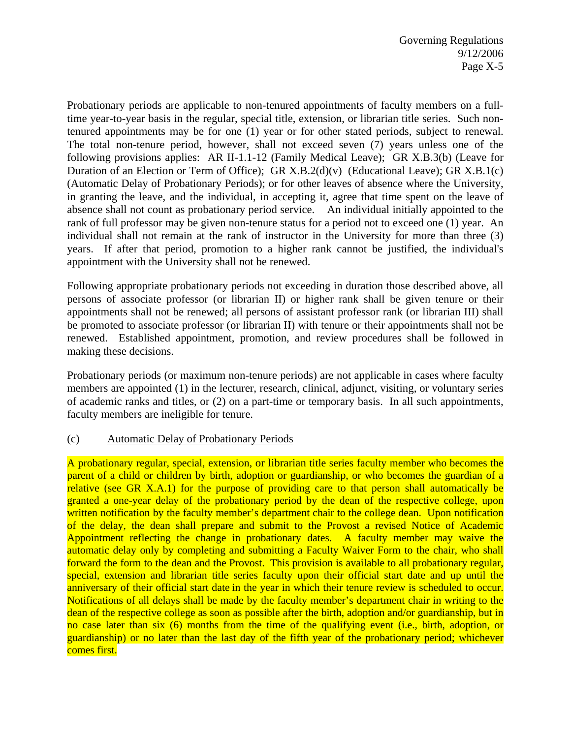Probationary periods are applicable to non-tenured appointments of faculty members on a fulltime year-to-year basis in the regular, special title, extension, or librarian title series. Such nontenured appointments may be for one (1) year or for other stated periods, subject to renewal. The total non-tenure period, however, shall not exceed seven (7) years unless one of the following provisions applies: AR II-1.1-12 (Family Medical Leave); GR X.B.3(b) (Leave for Duration of an Election or Term of Office); GR X.B.2(d)(v) (Educational Leave); GR X.B.1(c) (Automatic Delay of Probationary Periods); or for other leaves of absence where the University, in granting the leave, and the individual, in accepting it, agree that time spent on the leave of absence shall not count as probationary period service. An individual initially appointed to the rank of full professor may be given non-tenure status for a period not to exceed one (1) year. An individual shall not remain at the rank of instructor in the University for more than three (3) years. If after that period, promotion to a higher rank cannot be justified, the individual's appointment with the University shall not be renewed.

Following appropriate probationary periods not exceeding in duration those described above, all persons of associate professor (or librarian II) or higher rank shall be given tenure or their appointments shall not be renewed; all persons of assistant professor rank (or librarian III) shall be promoted to associate professor (or librarian II) with tenure or their appointments shall not be renewed. Established appointment, promotion, and review procedures shall be followed in making these decisions.

Probationary periods (or maximum non-tenure periods) are not applicable in cases where faculty members are appointed (1) in the lecturer, research, clinical, adjunct, visiting, or voluntary series of academic ranks and titles, or (2) on a part-time or temporary basis. In all such appointments, faculty members are ineligible for tenure.

#### (c) Automatic Delay of Probationary Periods

A probationary regular, special, extension, or librarian title series faculty member who becomes the parent of a child or children by birth, adoption or guardianship, or who becomes the guardian of a relative (see GR X.A.1) for the purpose of providing care to that person shall automatically be granted a one-year delay of the probationary period by the dean of the respective college, upon written notification by the faculty member's department chair to the college dean. Upon notification of the delay, the dean shall prepare and submit to the Provost a revised Notice of Academic Appointment reflecting the change in probationary dates. A faculty member may waive the automatic delay only by completing and submitting a Faculty Waiver Form to the chair, who shall forward the form to the dean and the Provost. This provision is available to all probationary regular, special, extension and librarian title series faculty upon their official start date and up until the anniversary of their official start date in the year in which their tenure review is scheduled to occur. Notifications of all delays shall be made by the faculty member's department chair in writing to the dean of the respective college as soon as possible after the birth, adoption and/or guardianship, but in no case later than six (6) months from the time of the qualifying event (i.e., birth, adoption, or guardianship) or no later than the last day of the fifth year of the probationary period; whichever comes first.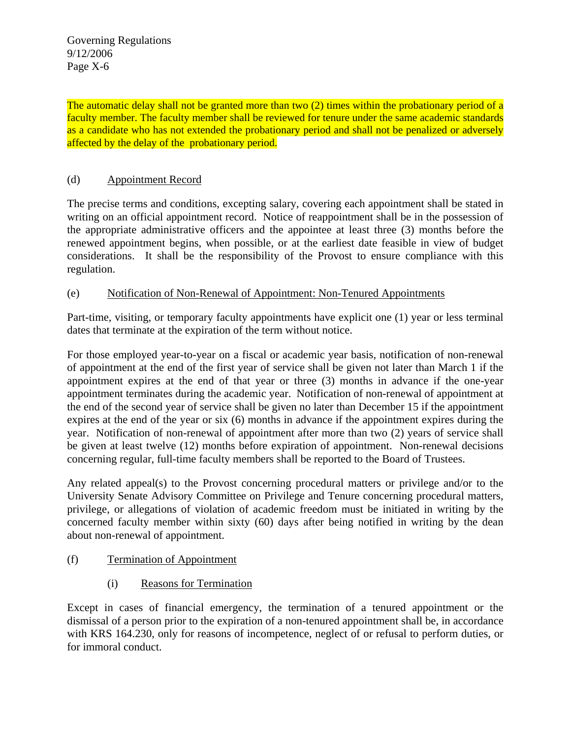The automatic delay shall not be granted more than two (2) times within the probationary period of a faculty member. The faculty member shall be reviewed for tenure under the same academic standards as a candidate who has not extended the probationary period and shall not be penalized or adversely affected by the delay of the probationary period.

#### (d) Appointment Record

The precise terms and conditions, excepting salary, covering each appointment shall be stated in writing on an official appointment record. Notice of reappointment shall be in the possession of the appropriate administrative officers and the appointee at least three (3) months before the renewed appointment begins, when possible, or at the earliest date feasible in view of budget considerations. It shall be the responsibility of the Provost to ensure compliance with this regulation.

#### (e) Notification of Non-Renewal of Appointment: Non-Tenured Appointments

Part-time, visiting, or temporary faculty appointments have explicit one (1) year or less terminal dates that terminate at the expiration of the term without notice.

For those employed year-to-year on a fiscal or academic year basis, notification of non-renewal of appointment at the end of the first year of service shall be given not later than March 1 if the appointment expires at the end of that year or three (3) months in advance if the one-year appointment terminates during the academic year. Notification of non-renewal of appointment at the end of the second year of service shall be given no later than December 15 if the appointment expires at the end of the year or six (6) months in advance if the appointment expires during the year. Notification of non-renewal of appointment after more than two (2) years of service shall be given at least twelve (12) months before expiration of appointment. Non-renewal decisions concerning regular, full-time faculty members shall be reported to the Board of Trustees.

Any related appeal(s) to the Provost concerning procedural matters or privilege and/or to the University Senate Advisory Committee on Privilege and Tenure concerning procedural matters, privilege, or allegations of violation of academic freedom must be initiated in writing by the concerned faculty member within sixty (60) days after being notified in writing by the dean about non-renewal of appointment.

- (f) Termination of Appointment
	- (i) Reasons for Termination

Except in cases of financial emergency, the termination of a tenured appointment or the dismissal of a person prior to the expiration of a non-tenured appointment shall be, in accordance with KRS 164.230, only for reasons of incompetence, neglect of or refusal to perform duties, or for immoral conduct.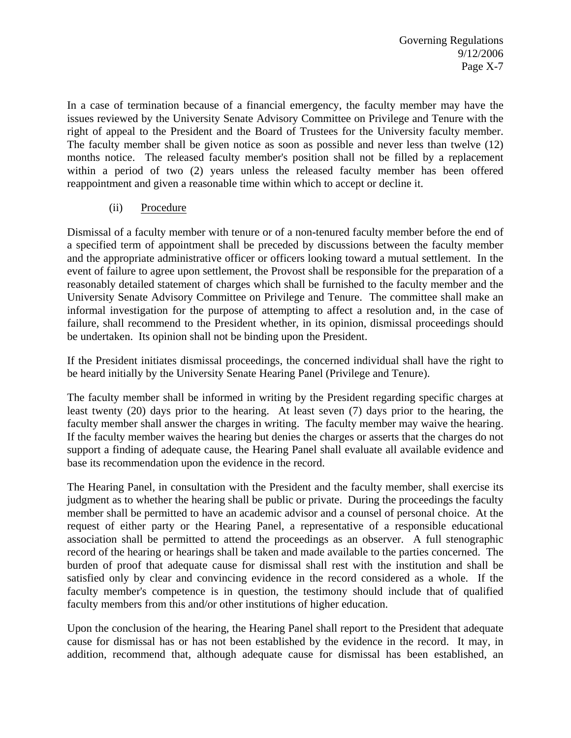In a case of termination because of a financial emergency, the faculty member may have the issues reviewed by the University Senate Advisory Committee on Privilege and Tenure with the right of appeal to the President and the Board of Trustees for the University faculty member. The faculty member shall be given notice as soon as possible and never less than twelve (12) months notice. The released faculty member's position shall not be filled by a replacement within a period of two (2) years unless the released faculty member has been offered reappointment and given a reasonable time within which to accept or decline it.

## (ii) Procedure

Dismissal of a faculty member with tenure or of a non-tenured faculty member before the end of a specified term of appointment shall be preceded by discussions between the faculty member and the appropriate administrative officer or officers looking toward a mutual settlement. In the event of failure to agree upon settlement, the Provost shall be responsible for the preparation of a reasonably detailed statement of charges which shall be furnished to the faculty member and the University Senate Advisory Committee on Privilege and Tenure. The committee shall make an informal investigation for the purpose of attempting to affect a resolution and, in the case of failure, shall recommend to the President whether, in its opinion, dismissal proceedings should be undertaken. Its opinion shall not be binding upon the President.

If the President initiates dismissal proceedings, the concerned individual shall have the right to be heard initially by the University Senate Hearing Panel (Privilege and Tenure).

The faculty member shall be informed in writing by the President regarding specific charges at least twenty (20) days prior to the hearing. At least seven (7) days prior to the hearing, the faculty member shall answer the charges in writing. The faculty member may waive the hearing. If the faculty member waives the hearing but denies the charges or asserts that the charges do not support a finding of adequate cause, the Hearing Panel shall evaluate all available evidence and base its recommendation upon the evidence in the record.

The Hearing Panel, in consultation with the President and the faculty member, shall exercise its judgment as to whether the hearing shall be public or private. During the proceedings the faculty member shall be permitted to have an academic advisor and a counsel of personal choice. At the request of either party or the Hearing Panel, a representative of a responsible educational association shall be permitted to attend the proceedings as an observer. A full stenographic record of the hearing or hearings shall be taken and made available to the parties concerned. The burden of proof that adequate cause for dismissal shall rest with the institution and shall be satisfied only by clear and convincing evidence in the record considered as a whole. If the faculty member's competence is in question, the testimony should include that of qualified faculty members from this and/or other institutions of higher education.

Upon the conclusion of the hearing, the Hearing Panel shall report to the President that adequate cause for dismissal has or has not been established by the evidence in the record. It may, in addition, recommend that, although adequate cause for dismissal has been established, an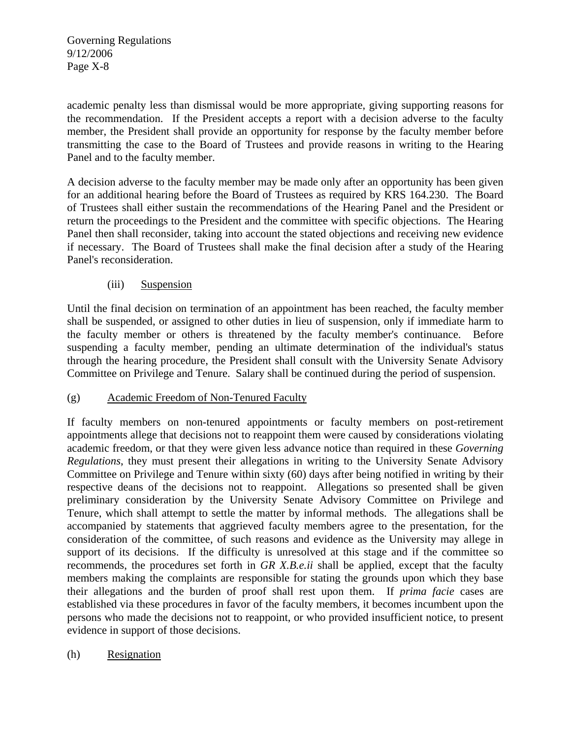academic penalty less than dismissal would be more appropriate, giving supporting reasons for the recommendation. If the President accepts a report with a decision adverse to the faculty member, the President shall provide an opportunity for response by the faculty member before transmitting the case to the Board of Trustees and provide reasons in writing to the Hearing Panel and to the faculty member.

A decision adverse to the faculty member may be made only after an opportunity has been given for an additional hearing before the Board of Trustees as required by KRS 164.230. The Board of Trustees shall either sustain the recommendations of the Hearing Panel and the President or return the proceedings to the President and the committee with specific objections. The Hearing Panel then shall reconsider, taking into account the stated objections and receiving new evidence if necessary. The Board of Trustees shall make the final decision after a study of the Hearing Panel's reconsideration.

## (iii) Suspension

Until the final decision on termination of an appointment has been reached, the faculty member shall be suspended, or assigned to other duties in lieu of suspension, only if immediate harm to the faculty member or others is threatened by the faculty member's continuance. Before suspending a faculty member, pending an ultimate determination of the individual's status through the hearing procedure, the President shall consult with the University Senate Advisory Committee on Privilege and Tenure. Salary shall be continued during the period of suspension.

## (g) Academic Freedom of Non-Tenured Faculty

If faculty members on non-tenured appointments or faculty members on post-retirement appointments allege that decisions not to reappoint them were caused by considerations violating academic freedom, or that they were given less advance notice than required in these *Governing Regulations*, they must present their allegations in writing to the University Senate Advisory Committee on Privilege and Tenure within sixty (60) days after being notified in writing by their respective deans of the decisions not to reappoint. Allegations so presented shall be given preliminary consideration by the University Senate Advisory Committee on Privilege and Tenure, which shall attempt to settle the matter by informal methods. The allegations shall be accompanied by statements that aggrieved faculty members agree to the presentation, for the consideration of the committee, of such reasons and evidence as the University may allege in support of its decisions. If the difficulty is unresolved at this stage and if the committee so recommends, the procedures set forth in *GR X.B.e.ii* shall be applied, except that the faculty members making the complaints are responsible for stating the grounds upon which they base their allegations and the burden of proof shall rest upon them. If *prima facie* cases are established via these procedures in favor of the faculty members, it becomes incumbent upon the persons who made the decisions not to reappoint, or who provided insufficient notice, to present evidence in support of those decisions.

## (h) Resignation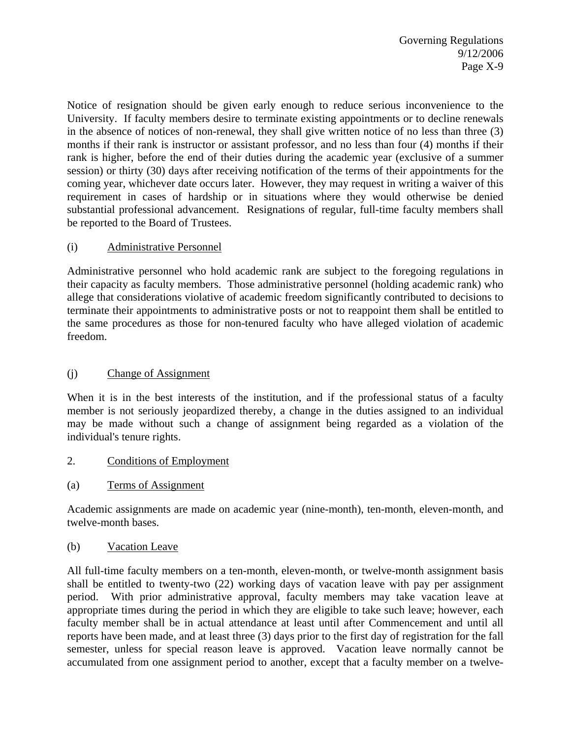Notice of resignation should be given early enough to reduce serious inconvenience to the University. If faculty members desire to terminate existing appointments or to decline renewals in the absence of notices of non-renewal, they shall give written notice of no less than three (3) months if their rank is instructor or assistant professor, and no less than four (4) months if their rank is higher, before the end of their duties during the academic year (exclusive of a summer session) or thirty (30) days after receiving notification of the terms of their appointments for the coming year, whichever date occurs later. However, they may request in writing a waiver of this requirement in cases of hardship or in situations where they would otherwise be denied substantial professional advancement. Resignations of regular, full-time faculty members shall be reported to the Board of Trustees.

## (i) Administrative Personnel

Administrative personnel who hold academic rank are subject to the foregoing regulations in their capacity as faculty members. Those administrative personnel (holding academic rank) who allege that considerations violative of academic freedom significantly contributed to decisions to terminate their appointments to administrative posts or not to reappoint them shall be entitled to the same procedures as those for non-tenured faculty who have alleged violation of academic freedom.

## (j) Change of Assignment

When it is in the best interests of the institution, and if the professional status of a faculty member is not seriously jeopardized thereby, a change in the duties assigned to an individual may be made without such a change of assignment being regarded as a violation of the individual's tenure rights.

#### 2. Conditions of Employment

(a) Terms of Assignment

Academic assignments are made on academic year (nine-month), ten-month, eleven-month, and twelve-month bases.

#### (b) Vacation Leave

All full-time faculty members on a ten-month, eleven-month, or twelve-month assignment basis shall be entitled to twenty-two (22) working days of vacation leave with pay per assignment period. With prior administrative approval, faculty members may take vacation leave at appropriate times during the period in which they are eligible to take such leave; however, each faculty member shall be in actual attendance at least until after Commencement and until all reports have been made, and at least three (3) days prior to the first day of registration for the fall semester, unless for special reason leave is approved. Vacation leave normally cannot be accumulated from one assignment period to another, except that a faculty member on a twelve-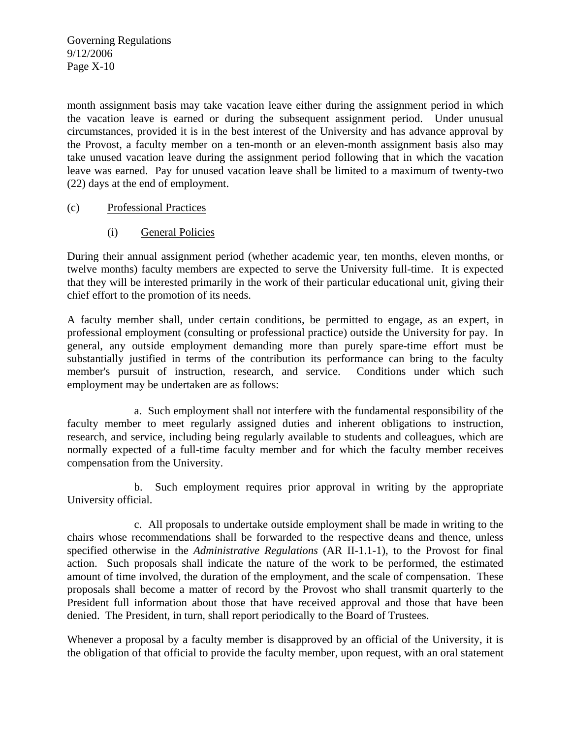month assignment basis may take vacation leave either during the assignment period in which the vacation leave is earned or during the subsequent assignment period. Under unusual circumstances, provided it is in the best interest of the University and has advance approval by the Provost, a faculty member on a ten-month or an eleven-month assignment basis also may take unused vacation leave during the assignment period following that in which the vacation leave was earned. Pay for unused vacation leave shall be limited to a maximum of twenty-two (22) days at the end of employment.

#### (c) Professional Practices

(i) General Policies

During their annual assignment period (whether academic year, ten months, eleven months, or twelve months) faculty members are expected to serve the University full-time. It is expected that they will be interested primarily in the work of their particular educational unit, giving their chief effort to the promotion of its needs.

A faculty member shall, under certain conditions, be permitted to engage, as an expert, in professional employment (consulting or professional practice) outside the University for pay. In general, any outside employment demanding more than purely spare-time effort must be substantially justified in terms of the contribution its performance can bring to the faculty member's pursuit of instruction, research, and service. Conditions under which such employment may be undertaken are as follows:

 a. Such employment shall not interfere with the fundamental responsibility of the faculty member to meet regularly assigned duties and inherent obligations to instruction, research, and service, including being regularly available to students and colleagues, which are normally expected of a full-time faculty member and for which the faculty member receives compensation from the University.

 b. Such employment requires prior approval in writing by the appropriate University official.

 c. All proposals to undertake outside employment shall be made in writing to the chairs whose recommendations shall be forwarded to the respective deans and thence, unless specified otherwise in the *Administrative Regulations* (AR II-1.1-1), to the Provost for final action. Such proposals shall indicate the nature of the work to be performed, the estimated amount of time involved, the duration of the employment, and the scale of compensation. These proposals shall become a matter of record by the Provost who shall transmit quarterly to the President full information about those that have received approval and those that have been denied. The President, in turn, shall report periodically to the Board of Trustees.

Whenever a proposal by a faculty member is disapproved by an official of the University, it is the obligation of that official to provide the faculty member, upon request, with an oral statement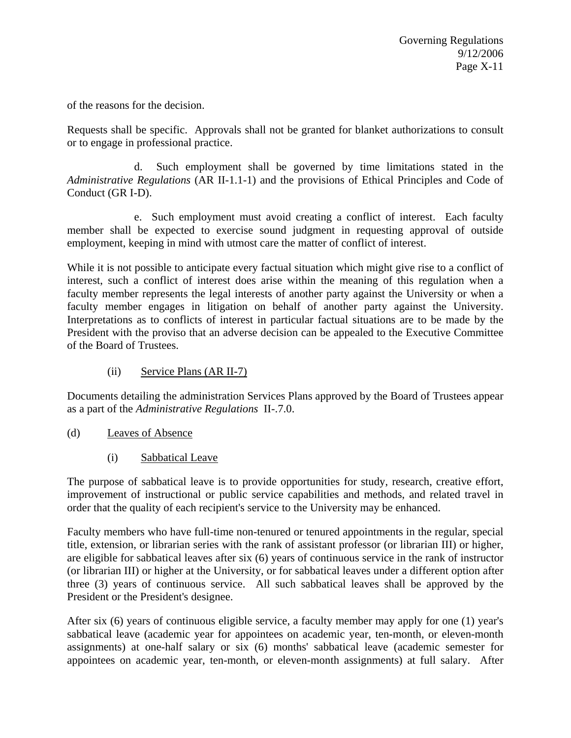of the reasons for the decision.

Requests shall be specific. Approvals shall not be granted for blanket authorizations to consult or to engage in professional practice.

 d. Such employment shall be governed by time limitations stated in the *Administrative Regulations* (AR II-1.1-1) and the provisions of Ethical Principles and Code of Conduct (GR I-D).

 e. Such employment must avoid creating a conflict of interest. Each faculty member shall be expected to exercise sound judgment in requesting approval of outside employment, keeping in mind with utmost care the matter of conflict of interest.

While it is not possible to anticipate every factual situation which might give rise to a conflict of interest, such a conflict of interest does arise within the meaning of this regulation when a faculty member represents the legal interests of another party against the University or when a faculty member engages in litigation on behalf of another party against the University. Interpretations as to conflicts of interest in particular factual situations are to be made by the President with the proviso that an adverse decision can be appealed to the Executive Committee of the Board of Trustees.

(ii) Service Plans (AR II-7)

Documents detailing the administration Services Plans approved by the Board of Trustees appear as a part of the *Administrative Regulations* II-.7.0.

- (d) Leaves of Absence
	- (i) Sabbatical Leave

The purpose of sabbatical leave is to provide opportunities for study, research, creative effort, improvement of instructional or public service capabilities and methods, and related travel in order that the quality of each recipient's service to the University may be enhanced.

Faculty members who have full-time non-tenured or tenured appointments in the regular, special title, extension, or librarian series with the rank of assistant professor (or librarian III) or higher, are eligible for sabbatical leaves after six (6) years of continuous service in the rank of instructor (or librarian III) or higher at the University, or for sabbatical leaves under a different option after three (3) years of continuous service. All such sabbatical leaves shall be approved by the President or the President's designee.

After six (6) years of continuous eligible service, a faculty member may apply for one (1) year's sabbatical leave (academic year for appointees on academic year, ten-month, or eleven-month assignments) at one-half salary or six (6) months' sabbatical leave (academic semester for appointees on academic year, ten-month, or eleven-month assignments) at full salary. After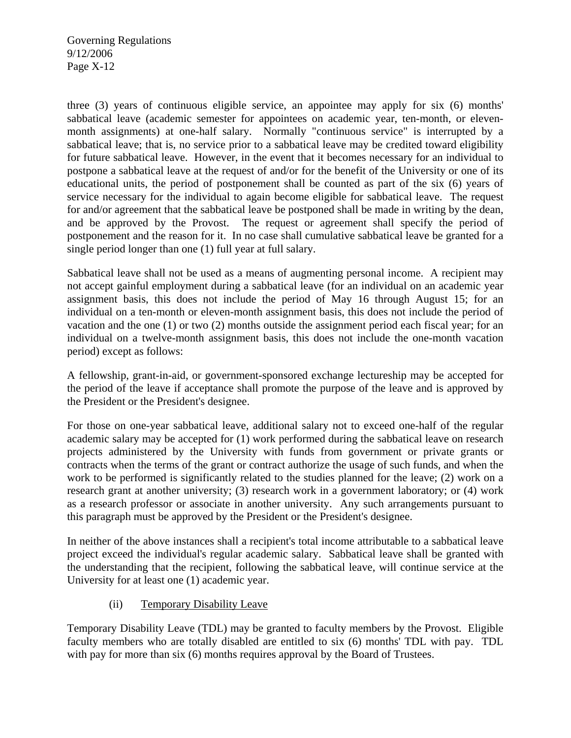three (3) years of continuous eligible service, an appointee may apply for six (6) months' sabbatical leave (academic semester for appointees on academic year, ten-month, or elevenmonth assignments) at one-half salary. Normally "continuous service" is interrupted by a sabbatical leave; that is, no service prior to a sabbatical leave may be credited toward eligibility for future sabbatical leave. However, in the event that it becomes necessary for an individual to postpone a sabbatical leave at the request of and/or for the benefit of the University or one of its educational units, the period of postponement shall be counted as part of the six (6) years of service necessary for the individual to again become eligible for sabbatical leave. The request for and/or agreement that the sabbatical leave be postponed shall be made in writing by the dean, and be approved by the Provost. The request or agreement shall specify the period of postponement and the reason for it. In no case shall cumulative sabbatical leave be granted for a single period longer than one (1) full year at full salary.

Sabbatical leave shall not be used as a means of augmenting personal income. A recipient may not accept gainful employment during a sabbatical leave (for an individual on an academic year assignment basis, this does not include the period of May 16 through August 15; for an individual on a ten-month or eleven-month assignment basis, this does not include the period of vacation and the one (1) or two (2) months outside the assignment period each fiscal year; for an individual on a twelve-month assignment basis, this does not include the one-month vacation period) except as follows:

A fellowship, grant-in-aid, or government-sponsored exchange lectureship may be accepted for the period of the leave if acceptance shall promote the purpose of the leave and is approved by the President or the President's designee.

For those on one-year sabbatical leave, additional salary not to exceed one-half of the regular academic salary may be accepted for (1) work performed during the sabbatical leave on research projects administered by the University with funds from government or private grants or contracts when the terms of the grant or contract authorize the usage of such funds, and when the work to be performed is significantly related to the studies planned for the leave; (2) work on a research grant at another university; (3) research work in a government laboratory; or (4) work as a research professor or associate in another university. Any such arrangements pursuant to this paragraph must be approved by the President or the President's designee.

In neither of the above instances shall a recipient's total income attributable to a sabbatical leave project exceed the individual's regular academic salary. Sabbatical leave shall be granted with the understanding that the recipient, following the sabbatical leave, will continue service at the University for at least one (1) academic year.

## (ii) Temporary Disability Leave

Temporary Disability Leave (TDL) may be granted to faculty members by the Provost. Eligible faculty members who are totally disabled are entitled to six (6) months' TDL with pay. TDL with pay for more than six (6) months requires approval by the Board of Trustees.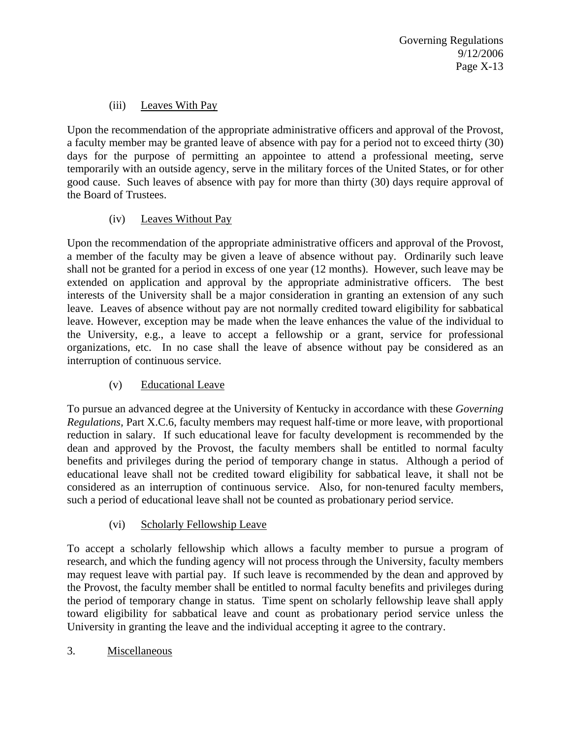# (iii) Leaves With Pay

Upon the recommendation of the appropriate administrative officers and approval of the Provost, a faculty member may be granted leave of absence with pay for a period not to exceed thirty (30) days for the purpose of permitting an appointee to attend a professional meeting, serve temporarily with an outside agency, serve in the military forces of the United States, or for other good cause. Such leaves of absence with pay for more than thirty (30) days require approval of the Board of Trustees.

## (iv) Leaves Without Pay

Upon the recommendation of the appropriate administrative officers and approval of the Provost, a member of the faculty may be given a leave of absence without pay. Ordinarily such leave shall not be granted for a period in excess of one year (12 months). However, such leave may be extended on application and approval by the appropriate administrative officers. The best interests of the University shall be a major consideration in granting an extension of any such leave. Leaves of absence without pay are not normally credited toward eligibility for sabbatical leave. However, exception may be made when the leave enhances the value of the individual to the University, e.g., a leave to accept a fellowship or a grant, service for professional organizations, etc. In no case shall the leave of absence without pay be considered as an interruption of continuous service.

## (v) Educational Leave

To pursue an advanced degree at the University of Kentucky in accordance with these *Governing Regulations,* Part X.C.6, faculty members may request half-time or more leave, with proportional reduction in salary. If such educational leave for faculty development is recommended by the dean and approved by the Provost, the faculty members shall be entitled to normal faculty benefits and privileges during the period of temporary change in status. Although a period of educational leave shall not be credited toward eligibility for sabbatical leave, it shall not be considered as an interruption of continuous service. Also, for non-tenured faculty members, such a period of educational leave shall not be counted as probationary period service.

# (vi) Scholarly Fellowship Leave

To accept a scholarly fellowship which allows a faculty member to pursue a program of research, and which the funding agency will not process through the University, faculty members may request leave with partial pay. If such leave is recommended by the dean and approved by the Provost, the faculty member shall be entitled to normal faculty benefits and privileges during the period of temporary change in status. Time spent on scholarly fellowship leave shall apply toward eligibility for sabbatical leave and count as probationary period service unless the University in granting the leave and the individual accepting it agree to the contrary.

## 3. Miscellaneous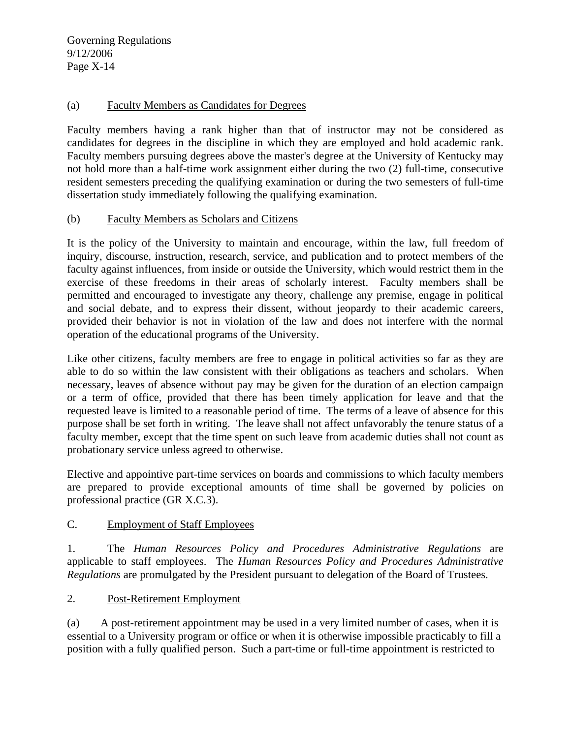#### (a) Faculty Members as Candidates for Degrees

Faculty members having a rank higher than that of instructor may not be considered as candidates for degrees in the discipline in which they are employed and hold academic rank. Faculty members pursuing degrees above the master's degree at the University of Kentucky may not hold more than a half-time work assignment either during the two (2) full-time, consecutive resident semesters preceding the qualifying examination or during the two semesters of full-time dissertation study immediately following the qualifying examination.

#### (b) Faculty Members as Scholars and Citizens

It is the policy of the University to maintain and encourage, within the law, full freedom of inquiry, discourse, instruction, research, service, and publication and to protect members of the faculty against influences, from inside or outside the University, which would restrict them in the exercise of these freedoms in their areas of scholarly interest. Faculty members shall be permitted and encouraged to investigate any theory, challenge any premise, engage in political and social debate, and to express their dissent, without jeopardy to their academic careers, provided their behavior is not in violation of the law and does not interfere with the normal operation of the educational programs of the University.

Like other citizens, faculty members are free to engage in political activities so far as they are able to do so within the law consistent with their obligations as teachers and scholars. When necessary, leaves of absence without pay may be given for the duration of an election campaign or a term of office, provided that there has been timely application for leave and that the requested leave is limited to a reasonable period of time. The terms of a leave of absence for this purpose shall be set forth in writing. The leave shall not affect unfavorably the tenure status of a faculty member, except that the time spent on such leave from academic duties shall not count as probationary service unless agreed to otherwise.

Elective and appointive part-time services on boards and commissions to which faculty members are prepared to provide exceptional amounts of time shall be governed by policies on professional practice (GR X.C.3).

#### C. Employment of Staff Employees

1. The *Human Resources Policy and Procedures Administrative Regulations* are applicable to staff employees. The *Human Resources Policy and Procedures Administrative Regulations* are promulgated by the President pursuant to delegation of the Board of Trustees.

## 2. Post-Retirement Employment

(a) A post-retirement appointment may be used in a very limited number of cases, when it is essential to a University program or office or when it is otherwise impossible practicably to fill a position with a fully qualified person. Such a part-time or full-time appointment is restricted to